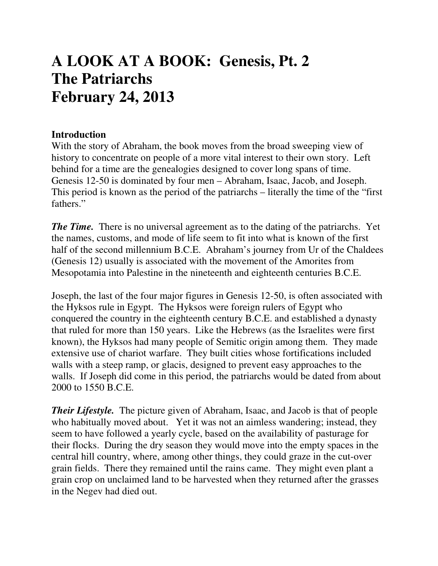# **A LOOK AT A BOOK: Genesis, Pt. 2 The Patriarchs February 24, 2013**

#### **Introduction**

With the story of Abraham, the book moves from the broad sweeping view of history to concentrate on people of a more vital interest to their own story. Left behind for a time are the genealogies designed to cover long spans of time. Genesis 12-50 is dominated by four men – Abraham, Isaac, Jacob, and Joseph. This period is known as the period of the patriarchs – literally the time of the "first fathers."

*The Time.* There is no universal agreement as to the dating of the patriarchs. Yet the names, customs, and mode of life seem to fit into what is known of the first half of the second millennium B.C.E. Abraham's journey from Ur of the Chaldees (Genesis 12) usually is associated with the movement of the Amorites from Mesopotamia into Palestine in the nineteenth and eighteenth centuries B.C.E.

Joseph, the last of the four major figures in Genesis 12-50, is often associated with the Hyksos rule in Egypt. The Hyksos were foreign rulers of Egypt who conquered the country in the eighteenth century B.C.E. and established a dynasty that ruled for more than 150 years. Like the Hebrews (as the Israelites were first known), the Hyksos had many people of Semitic origin among them. They made extensive use of chariot warfare. They built cities whose fortifications included walls with a steep ramp, or glacis, designed to prevent easy approaches to the walls. If Joseph did come in this period, the patriarchs would be dated from about 2000 to 1550 B.C.E.

*Their Lifestyle.* The picture given of Abraham, Isaac, and Jacob is that of people who habitually moved about. Yet it was not an aimless wandering; instead, they seem to have followed a yearly cycle, based on the availability of pasturage for their flocks. During the dry season they would move into the empty spaces in the central hill country, where, among other things, they could graze in the cut-over grain fields. There they remained until the rains came. They might even plant a grain crop on unclaimed land to be harvested when they returned after the grasses in the Negev had died out.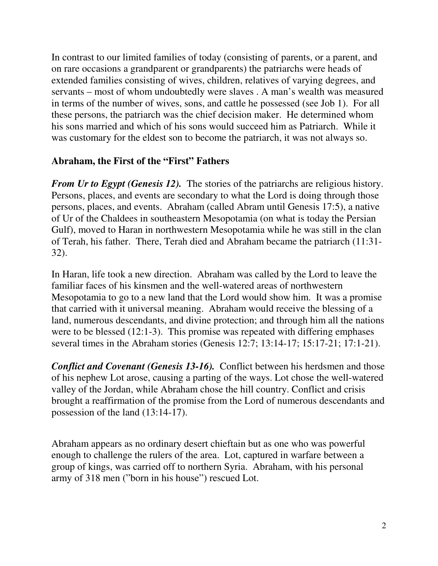In contrast to our limited families of today (consisting of parents, or a parent, and on rare occasions a grandparent or grandparents) the patriarchs were heads of extended families consisting of wives, children, relatives of varying degrees, and servants – most of whom undoubtedly were slaves . A man's wealth was measured in terms of the number of wives, sons, and cattle he possessed (see Job 1). For all these persons, the patriarch was the chief decision maker. He determined whom his sons married and which of his sons would succeed him as Patriarch. While it was customary for the eldest son to become the patriarch, it was not always so.

## **Abraham, the First of the "First" Fathers**

*From Ur to Egypt (Genesis 12).* The stories of the patriarchs are religious history. Persons, places, and events are secondary to what the Lord is doing through those persons, places, and events. Abraham (called Abram until Genesis 17:5), a native of Ur of the Chaldees in southeastern Mesopotamia (on what is today the Persian Gulf), moved to Haran in northwestern Mesopotamia while he was still in the clan of Terah, his father. There, Terah died and Abraham became the patriarch (11:31- 32).

In Haran, life took a new direction. Abraham was called by the Lord to leave the familiar faces of his kinsmen and the well-watered areas of northwestern Mesopotamia to go to a new land that the Lord would show him. It was a promise that carried with it universal meaning. Abraham would receive the blessing of a land, numerous descendants, and divine protection; and through him all the nations were to be blessed (12:1-3). This promise was repeated with differing emphases several times in the Abraham stories (Genesis 12:7; 13:14-17; 15:17-21; 17:1-21).

*Conflict and Covenant (Genesis 13-16).* Conflict between his herdsmen and those of his nephew Lot arose, causing a parting of the ways. Lot chose the well-watered valley of the Jordan, while Abraham chose the hill country. Conflict and crisis brought a reaffirmation of the promise from the Lord of numerous descendants and possession of the land (13:14-17).

Abraham appears as no ordinary desert chieftain but as one who was powerful enough to challenge the rulers of the area. Lot, captured in warfare between a group of kings, was carried off to northern Syria. Abraham, with his personal army of 318 men ("born in his house") rescued Lot.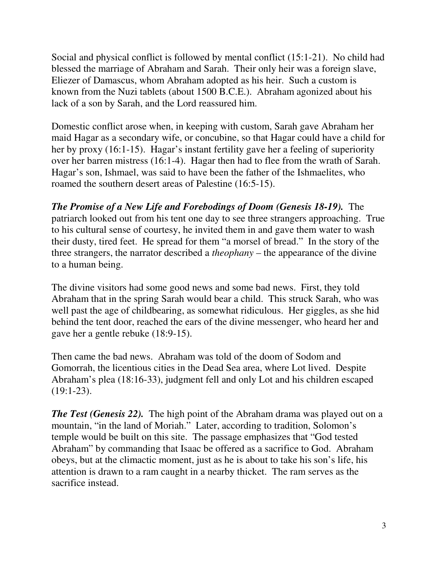Social and physical conflict is followed by mental conflict (15:1-21). No child had blessed the marriage of Abraham and Sarah. Their only heir was a foreign slave, Eliezer of Damascus, whom Abraham adopted as his heir. Such a custom is known from the Nuzi tablets (about 1500 B.C.E.). Abraham agonized about his lack of a son by Sarah, and the Lord reassured him.

Domestic conflict arose when, in keeping with custom, Sarah gave Abraham her maid Hagar as a secondary wife, or concubine, so that Hagar could have a child for her by proxy (16:1-15). Hagar's instant fertility gave her a feeling of superiority over her barren mistress (16:1-4). Hagar then had to flee from the wrath of Sarah. Hagar's son, Ishmael, was said to have been the father of the Ishmaelites, who roamed the southern desert areas of Palestine (16:5-15).

*The Promise of a New Life and Forebodings of Doom (Genesis 18-19).* The patriarch looked out from his tent one day to see three strangers approaching. True to his cultural sense of courtesy, he invited them in and gave them water to wash their dusty, tired feet. He spread for them "a morsel of bread." In the story of the three strangers, the narrator described a *theophany* – the appearance of the divine to a human being.

The divine visitors had some good news and some bad news. First, they told Abraham that in the spring Sarah would bear a child. This struck Sarah, who was well past the age of childbearing, as somewhat ridiculous. Her giggles, as she hid behind the tent door, reached the ears of the divine messenger, who heard her and gave her a gentle rebuke (18:9-15).

Then came the bad news. Abraham was told of the doom of Sodom and Gomorrah, the licentious cities in the Dead Sea area, where Lot lived. Despite Abraham's plea (18:16-33), judgment fell and only Lot and his children escaped (19:1-23).

*The Test (Genesis 22).* The high point of the Abraham drama was played out on a mountain, "in the land of Moriah." Later, according to tradition, Solomon's temple would be built on this site. The passage emphasizes that "God tested Abraham" by commanding that Isaac be offered as a sacrifice to God. Abraham obeys, but at the climactic moment, just as he is about to take his son's life, his attention is drawn to a ram caught in a nearby thicket. The ram serves as the sacrifice instead.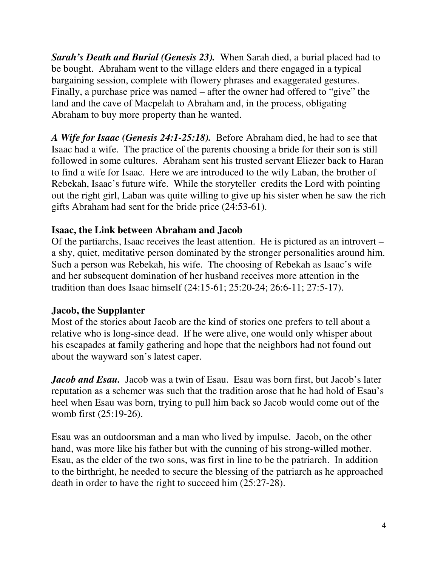*Sarah's Death and Burial (Genesis 23).* When Sarah died, a burial placed had to be bought. Abraham went to the village elders and there engaged in a typical bargaining session, complete with flowery phrases and exaggerated gestures. Finally, a purchase price was named – after the owner had offered to "give" the land and the cave of Macpelah to Abraham and, in the process, obligating Abraham to buy more property than he wanted.

*A Wife for Isaac (Genesis 24:1-25:18).* Before Abraham died, he had to see that Isaac had a wife. The practice of the parents choosing a bride for their son is still followed in some cultures. Abraham sent his trusted servant Eliezer back to Haran to find a wife for Isaac. Here we are introduced to the wily Laban, the brother of Rebekah, Isaac's future wife. While the storyteller credits the Lord with pointing out the right girl, Laban was quite willing to give up his sister when he saw the rich gifts Abraham had sent for the bride price (24:53-61).

## **Isaac, the Link between Abraham and Jacob**

Of the partiarchs, Isaac receives the least attention. He is pictured as an introvert – a shy, quiet, meditative person dominated by the stronger personalities around him. Such a person was Rebekah, his wife. The choosing of Rebekah as Isaac's wife and her subsequent domination of her husband receives more attention in the tradition than does Isaac himself (24:15-61; 25:20-24; 26:6-11; 27:5-17).

#### **Jacob, the Supplanter**

Most of the stories about Jacob are the kind of stories one prefers to tell about a relative who is long-since dead. If he were alive, one would only whisper about his escapades at family gathering and hope that the neighbors had not found out about the wayward son's latest caper.

*Jacob and Esau.* Jacob was a twin of Esau. Esau was born first, but Jacob's later reputation as a schemer was such that the tradition arose that he had hold of Esau's heel when Esau was born, trying to pull him back so Jacob would come out of the womb first (25:19-26).

Esau was an outdoorsman and a man who lived by impulse. Jacob, on the other hand, was more like his father but with the cunning of his strong-willed mother. Esau, as the elder of the two sons, was first in line to be the patriarch. In addition to the birthright, he needed to secure the blessing of the patriarch as he approached death in order to have the right to succeed him (25:27-28).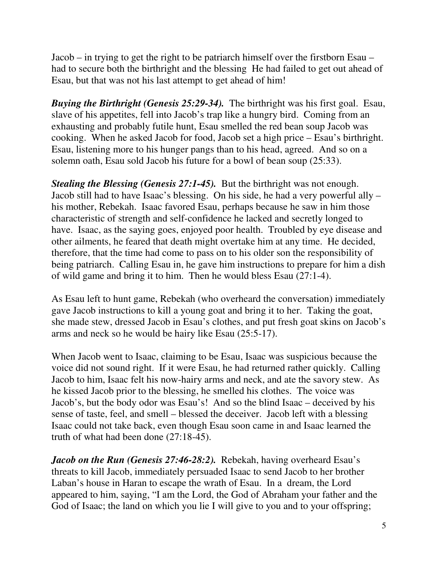Jacob – in trying to get the right to be patriarch himself over the firstborn Esau – had to secure both the birthright and the blessing He had failed to get out ahead of Esau, but that was not his last attempt to get ahead of him!

*Buying the Birthright (Genesis 25:29-34).* The birthright was his first goal. Esau, slave of his appetites, fell into Jacob's trap like a hungry bird. Coming from an exhausting and probably futile hunt, Esau smelled the red bean soup Jacob was cooking. When he asked Jacob for food, Jacob set a high price – Esau's birthright. Esau, listening more to his hunger pangs than to his head, agreed. And so on a solemn oath, Esau sold Jacob his future for a bowl of bean soup (25:33).

*Stealing the Blessing (Genesis 27:1-45).* But the birthright was not enough. Jacob still had to have Isaac's blessing. On his side, he had a very powerful ally – his mother, Rebekah. Isaac favored Esau, perhaps because he saw in him those characteristic of strength and self-confidence he lacked and secretly longed to have. Isaac, as the saying goes, enjoyed poor health. Troubled by eye disease and other ailments, he feared that death might overtake him at any time. He decided, therefore, that the time had come to pass on to his older son the responsibility of being patriarch. Calling Esau in, he gave him instructions to prepare for him a dish of wild game and bring it to him. Then he would bless Esau (27:1-4).

As Esau left to hunt game, Rebekah (who overheard the conversation) immediately gave Jacob instructions to kill a young goat and bring it to her. Taking the goat, she made stew, dressed Jacob in Esau's clothes, and put fresh goat skins on Jacob's arms and neck so he would be hairy like Esau (25:5-17).

When Jacob went to Isaac, claiming to be Esau, Isaac was suspicious because the voice did not sound right. If it were Esau, he had returned rather quickly. Calling Jacob to him, Isaac felt his now-hairy arms and neck, and ate the savory stew. As he kissed Jacob prior to the blessing, he smelled his clothes. The voice was Jacob's, but the body odor was Esau's! And so the blind Isaac – deceived by his sense of taste, feel, and smell – blessed the deceiver. Jacob left with a blessing Isaac could not take back, even though Esau soon came in and Isaac learned the truth of what had been done (27:18-45).

*Jacob on the Run (Genesis 27:46-28:2).* Rebekah, having overheard Esau's threats to kill Jacob, immediately persuaded Isaac to send Jacob to her brother Laban's house in Haran to escape the wrath of Esau. In a dream, the Lord appeared to him, saying, "I am the Lord, the God of Abraham your father and the God of Isaac; the land on which you lie I will give to you and to your offspring;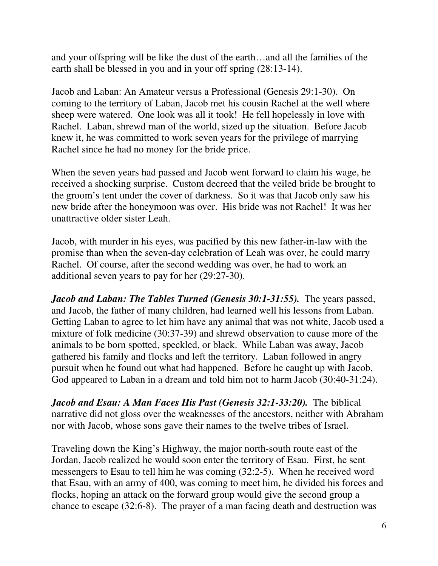and your offspring will be like the dust of the earth…and all the families of the earth shall be blessed in you and in your off spring (28:13-14).

Jacob and Laban: An Amateur versus a Professional (Genesis 29:1-30). On coming to the territory of Laban, Jacob met his cousin Rachel at the well where sheep were watered. One look was all it took! He fell hopelessly in love with Rachel. Laban, shrewd man of the world, sized up the situation. Before Jacob knew it, he was committed to work seven years for the privilege of marrying Rachel since he had no money for the bride price.

When the seven years had passed and Jacob went forward to claim his wage, he received a shocking surprise. Custom decreed that the veiled bride be brought to the groom's tent under the cover of darkness. So it was that Jacob only saw his new bride after the honeymoon was over. His bride was not Rachel! It was her unattractive older sister Leah.

Jacob, with murder in his eyes, was pacified by this new father-in-law with the promise than when the seven-day celebration of Leah was over, he could marry Rachel. Of course, after the second wedding was over, he had to work an additional seven years to pay for her (29:27-30).

*Jacob and Laban: The Tables Turned (Genesis 30:1-31:55).* The years passed, and Jacob, the father of many children, had learned well his lessons from Laban. Getting Laban to agree to let him have any animal that was not white, Jacob used a mixture of folk medicine (30:37-39) and shrewd observation to cause more of the animals to be born spotted, speckled, or black. While Laban was away, Jacob gathered his family and flocks and left the territory. Laban followed in angry pursuit when he found out what had happened. Before he caught up with Jacob, God appeared to Laban in a dream and told him not to harm Jacob (30:40-31:24).

*Jacob and Esau: A Man Faces His Past (Genesis 32:1-33:20).* The biblical narrative did not gloss over the weaknesses of the ancestors, neither with Abraham nor with Jacob, whose sons gave their names to the twelve tribes of Israel.

Traveling down the King's Highway, the major north-south route east of the Jordan, Jacob realized he would soon enter the territory of Esau. First, he sent messengers to Esau to tell him he was coming (32:2-5). When he received word that Esau, with an army of 400, was coming to meet him, he divided his forces and flocks, hoping an attack on the forward group would give the second group a chance to escape (32:6-8). The prayer of a man facing death and destruction was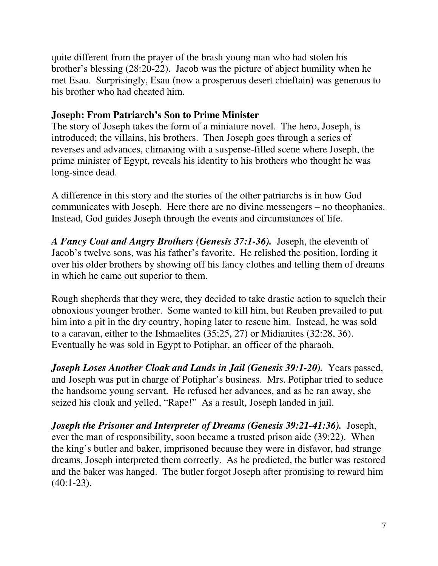quite different from the prayer of the brash young man who had stolen his brother's blessing (28:20-22). Jacob was the picture of abject humility when he met Esau. Surprisingly, Esau (now a prosperous desert chieftain) was generous to his brother who had cheated him.

## **Joseph: From Patriarch's Son to Prime Minister**

The story of Joseph takes the form of a miniature novel. The hero, Joseph, is introduced; the villains, his brothers. Then Joseph goes through a series of reverses and advances, climaxing with a suspense-filled scene where Joseph, the prime minister of Egypt, reveals his identity to his brothers who thought he was long-since dead.

A difference in this story and the stories of the other patriarchs is in how God communicates with Joseph. Here there are no divine messengers – no theophanies. Instead, God guides Joseph through the events and circumstances of life.

*A Fancy Coat and Angry Brothers (Genesis 37:1-36).* Joseph, the eleventh of Jacob's twelve sons, was his father's favorite. He relished the position, lording it over his older brothers by showing off his fancy clothes and telling them of dreams in which he came out superior to them.

Rough shepherds that they were, they decided to take drastic action to squelch their obnoxious younger brother. Some wanted to kill him, but Reuben prevailed to put him into a pit in the dry country, hoping later to rescue him. Instead, he was sold to a caravan, either to the Ishmaelites (35;25, 27) or Midianites (32:28, 36). Eventually he was sold in Egypt to Potiphar, an officer of the pharaoh.

*Joseph Loses Another Cloak and Lands in Jail (Genesis 39:1-20).* Years passed, and Joseph was put in charge of Potiphar's business. Mrs. Potiphar tried to seduce the handsome young servant. He refused her advances, and as he ran away, she seized his cloak and yelled, "Rape!" As a result, Joseph landed in jail.

*Joseph the Prisoner and Interpreter of Dreams (Genesis 39:21-41:36).* Joseph, ever the man of responsibility, soon became a trusted prison aide (39:22). When the king's butler and baker, imprisoned because they were in disfavor, had strange dreams, Joseph interpreted them correctly. As he predicted, the butler was restored and the baker was hanged. The butler forgot Joseph after promising to reward him  $(40:1-23)$ .